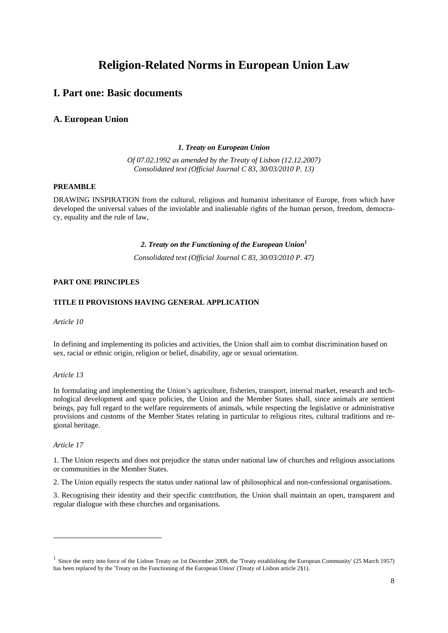# **Religion-Related Norms in European Union Law**

## **I. Part one: Basic documents**

## **A. European Union**

#### *1. Treaty on European Union*

*Of 07.02.1992 as amended by the Treaty of Lisbon (12.12.2007) Consolidated text (Official Journal C 83, 30/03/2010 P. 13)* 

## **PREAMBLE**

DRAWING INSPIRATION from the cultural, religious and humanist inheritance of Europe, from which have developed the universal values of the inviolable and inalienable rights of the human person, freedom, democracy, equality and the rule of law,

### 2. Treaty on the Functioning of the European Union<sup>1</sup>

*Consolidated text (Official Journal C 83, 30/03/2010 P. 47)* 

#### **PART ONE PRINCIPLES**

#### **TITLE II PROVISIONS HAVING GENERAL APPLICATION**

*Article 10* 

In defining and implementing its policies and activities, the Union shall aim to combat discrimination based on sex, racial or ethnic origin, religion or belief, disability, age or sexual orientation.

#### *Article 13*

In formulating and implementing the Union's agriculture, fisheries, transport, internal market, research and technological development and space policies, the Union and the Member States shall, since animals are sentient beings, pay full regard to the welfare requirements of animals, while respecting the legislative or administrative provisions and customs of the Member States relating in particular to religious rites, cultural traditions and regional heritage.

#### *Article 17*

-

1. The Union respects and does not prejudice the status under national law of churches and religious associations or communities in the Member States.

2. The Union equally respects the status under national law of philosophical and non-confessional organisations.

3. Recognising their identity and their specific contribution, the Union shall maintain an open, transparent and regular dialogue with these churches and organisations.

<sup>&</sup>lt;sup>1</sup> Since the entry into force of the Lisbon Treaty on 1st December 2009, the 'Treaty establishing the European Community' (25 March 1957) has been replaced by the 'Treaty on the Functioning of the European Union' (Treaty of Lisbon article 2§1).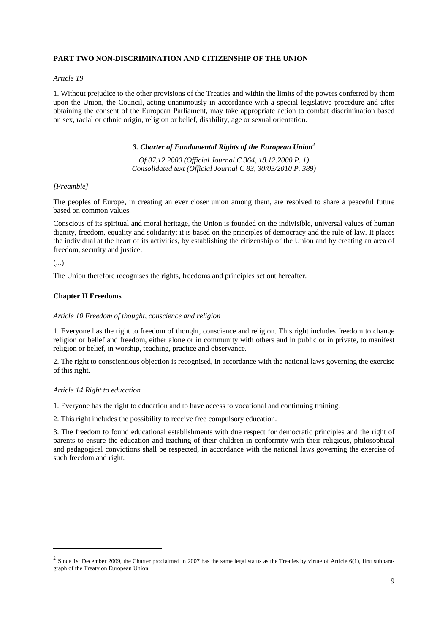#### **PART TWO NON-DISCRIMINATION AND CITIZENSHIP OF THE UNION**

#### *Article 19*

1. Without prejudice to the other provisions of the Treaties and within the limits of the powers conferred by them upon the Union, the Council, acting unanimously in accordance with a special legislative procedure and after obtaining the consent of the European Parliament, may take appropriate action to combat discrimination based on sex, racial or ethnic origin, religion or belief, disability, age or sexual orientation.

#### *3. Charter of Fundamental Rights of the European Union2*

*Of 07.12.2000 (Official Journal C 364, 18.12.2000 P. 1) Consolidated text (Official Journal C 83, 30/03/2010 P. 389)* 

#### *[Preamble]*

The peoples of Europe, in creating an ever closer union among them, are resolved to share a peaceful future based on common values.

Conscious of its spiritual and moral heritage, the Union is founded on the indivisible, universal values of human dignity, freedom, equality and solidarity; it is based on the principles of democracy and the rule of law. It places the individual at the heart of its activities, by establishing the citizenship of the Union and by creating an area of freedom, security and justice.

#### (...)

 $\overline{a}$ 

The Union therefore recognises the rights, freedoms and principles set out hereafter.

#### **Chapter II Freedoms**

#### *Article 10 Freedom of thought, conscience and religion*

1. Everyone has the right to freedom of thought, conscience and religion. This right includes freedom to change religion or belief and freedom, either alone or in community with others and in public or in private, to manifest religion or belief, in worship, teaching, practice and observance.

2. The right to conscientious objection is recognised, in accordance with the national laws governing the exercise of this right.

#### *Article 14 Right to education*

1. Everyone has the right to education and to have access to vocational and continuing training.

2. This right includes the possibility to receive free compulsory education.

3. The freedom to found educational establishments with due respect for democratic principles and the right of parents to ensure the education and teaching of their children in conformity with their religious, philosophical and pedagogical convictions shall be respected, in accordance with the national laws governing the exercise of such freedom and right.

 $2$  Since 1st December 2009, the Charter proclaimed in 2007 has the same legal status as the Treaties by virtue of Article 6(1), first subparagraph of the Treaty on European Union.